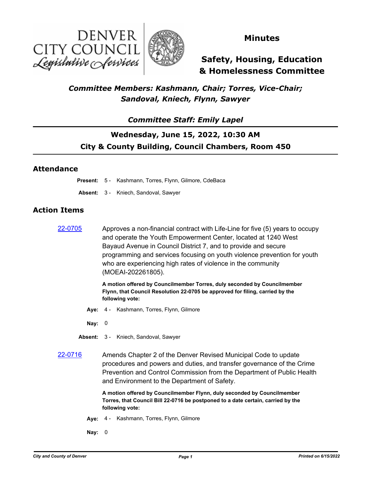



### **Minutes**

# **Safety, Housing, Education & Homelessness Committee**

### *Committee Members: Kashmann, Chair; Torres, Vice-Chair; Sandoval, Kniech, Flynn, Sawyer*

### *Committee Staff: Emily Lapel*

# **Wednesday, June 15, 2022, 10:30 AM City & County Building, Council Chambers, Room 450**

#### **Attendance**

**Present:** 5 - Kashmann, Torres, Flynn, Gilmore, CdeBaca

**Absent:** 3 - Kniech, Sandoval, Sawyer

#### **Action Items**

 $22-0705$  Approves a non-financial contract with Life-Line for five (5) years to occupy and operate the Youth Empowerment Center, located at 1240 West Bayaud Avenue in Council District 7, and to provide and secure programming and services focusing on youth violence prevention for youth who are experiencing high rates of violence in the community (MOEAI-202261805).

> **A motion offered by Councilmember Torres, duly seconded by Councilmember Flynn, that Council Resolution 22-0705 be approved for filing, carried by the following vote:**

- **Aye:** 4 Kashmann, Torres, Flynn, Gilmore
- **Nay:** 0
- **Absent:** 3 Kniech, Sandoval, Sawyer
- [22-0716](http://denver.legistar.com/gateway.aspx?m=l&id=/matter.aspx?key=21783) Amends Chapter 2 of the Denver Revised Municipal Code to update procedures and powers and duties, and transfer governance of the Crime Prevention and Control Commission from the Department of Public Health and Environment to the Department of Safety.

**A motion offered by Councilmember Flynn, duly seconded by Councilmember Torres, that Council Bill 22-0716 be postponed to a date certain, carried by the following vote:**

- **Aye:** 4 Kashmann, Torres, Flynn, Gilmore
- **Nay:** 0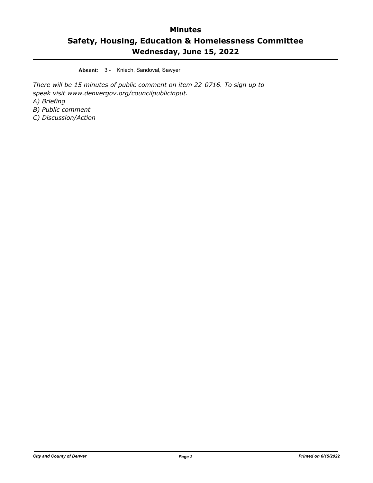**Absent:** 3 - Kniech, Sandoval, Sawyer

*There will be 15 minutes of public comment on item 22-0716. To sign up to speak visit www.denvergov.org/councilpublicinput. A) Briefing B) Public comment*

*C) Discussion/Action*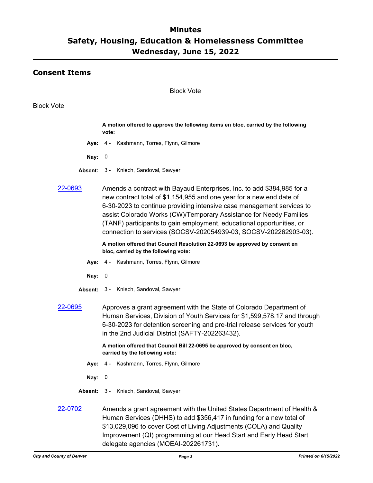### **Consent Items**

#### Block Vote

#### Block Vote

**A motion offered to approve the following items en bloc, carried by the following vote: Aye:** 4 - Kashmann, Torres, Flynn, Gilmore **Nay:** 0 **Absent:** 3 - Kniech, Sandoval, Sawyer [22-0693](http://denver.legistar.com/gateway.aspx?m=l&id=/matter.aspx?key=21760) Amends a contract with Bayaud Enterprises, Inc. to add \$384,985 for a new contract total of \$1,154,955 and one year for a new end date of 6-30-2023 to continue providing intensive case management services to assist Colorado Works (CW)/Temporary Assistance for Needy Families (TANF) participants to gain employment, educational opportunities, or connection to services (SOCSV-202054939-03, SOCSV-202262903-03). **A motion offered that Council Resolution 22-0693 be approved by consent en bloc, carried by the following vote: Aye:** 4 - Kashmann, Torres, Flynn, Gilmore **Nay:** 0 **Absent:** 3 - Kniech, Sandoval, Sawyer [22-0695](http://denver.legistar.com/gateway.aspx?m=l&id=/matter.aspx?key=21762) Approves a grant agreement with the State of Colorado Department of

Human Services, Division of Youth Services for \$1,599,578.17 and through 6-30-2023 for detention screening and pre-trial release services for youth in the 2nd Judicial District (SAFTY-202263432).

> **A motion offered that Council Bill 22-0695 be approved by consent en bloc, carried by the following vote:**

- **Aye:** 4 Kashmann, Torres, Flynn, Gilmore
- **Nay:** 0
- **Absent:** 3 Kniech, Sandoval, Sawyer
- [22-0702](http://denver.legistar.com/gateway.aspx?m=l&id=/matter.aspx?key=21769) Amends a grant agreement with the United States Department of Health & Human Services (DHHS) to add \$356,417 in funding for a new total of \$13,029,096 to cover Cost of Living Adjustments (COLA) and Quality Improvement (QI) programming at our Head Start and Early Head Start delegate agencies (MOEAI-202261731).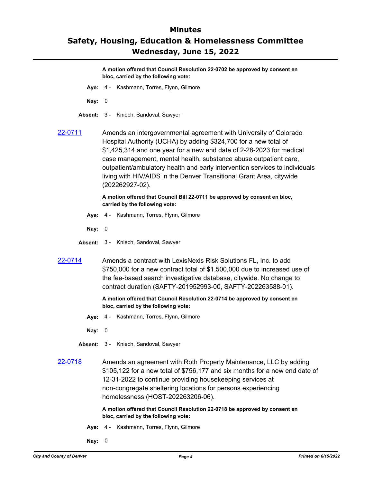**A motion offered that Council Resolution 22-0702 be approved by consent en bloc, carried by the following vote:**

- **Aye:** 4 Kashmann, Torres, Flynn, Gilmore
- **Nay:** 0
- **Absent:** 3 Kniech, Sandoval, Sawyer
- [22-0711](http://denver.legistar.com/gateway.aspx?m=l&id=/matter.aspx?key=21778) Amends an intergovernmental agreement with University of Colorado Hospital Authority (UCHA) by adding \$324,700 for a new total of \$1,425,314 and one year for a new end date of 2-28-2023 for medical case management, mental health, substance abuse outpatient care, outpatient/ambulatory health and early intervention services to individuals living with HIV/AIDS in the Denver Transitional Grant Area, citywide (202262927-02).

**A motion offered that Council Bill 22-0711 be approved by consent en bloc, carried by the following vote:**

- **Aye:** 4 Kashmann, Torres, Flynn, Gilmore
- **Nay:** 0
- **Absent:** 3 Kniech, Sandoval, Sawyer
- [22-0714](http://denver.legistar.com/gateway.aspx?m=l&id=/matter.aspx?key=21781) Amends a contract with LexisNexis Risk Solutions FL, Inc. to add \$750,000 for a new contract total of \$1,500,000 due to increased use of the fee-based search investigative database, citywide. No change to contract duration (SAFTY-201952993-00, SAFTY-202263588-01).

#### **A motion offered that Council Resolution 22-0714 be approved by consent en bloc, carried by the following vote:**

- **Aye:** 4 Kashmann, Torres, Flynn, Gilmore
- **Nay:** 0
- **Absent:** 3 Kniech, Sandoval, Sawyer
- [22-0718](http://denver.legistar.com/gateway.aspx?m=l&id=/matter.aspx?key=21785) Amends an agreement with Roth Property Maintenance, LLC by adding \$105,122 for a new total of \$756,177 and six months for a new end date of 12-31-2022 to continue providing housekeeping services at non-congregate sheltering locations for persons experiencing homelessness (HOST-202263206-06).

#### **A motion offered that Council Resolution 22-0718 be approved by consent en bloc, carried by the following vote:**

- **Aye:** 4 Kashmann, Torres, Flynn, Gilmore
- **Nay:** 0